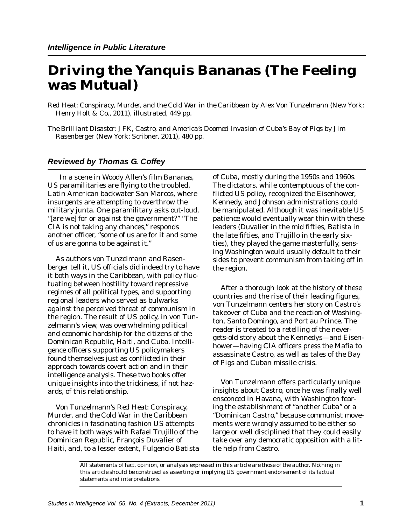## **Driving the Yanquis Bananas (The Feeling was Mutual)**

*Red Heat: Conspiracy, Murder, and the Cold War in the Caribbean* by Alex Von Tunzelmann (New York: Henry Holt & Co., 2011), illustrated, 449 pp.

*The Brilliant Disaster: JFK, Castro, and America's Doomed Invasion of Cuba's Bay of Pigs* by Jim Rasenberger (New York: Scribner, 2011), 480 pp.

## *Reviewed by Thomas G. Coffey*

In a scene in Woody Allen's film *Bananas,*  US paramilitaries are flying to the troubled, Latin American backwater San Marcos, where insurgents are attempting to overthrow the military junta. One paramilitary asks out-loud, "[are we] for or against the government?" "The CIA is not taking any chances," responds another officer, "some of us are for it and some of us are gonna to be against it."

As authors von Tunzelmann and Rasenberger tell it, US officials did indeed try to have it both ways in the Caribbean, with policy fluctuating between hostility toward repressive regimes of all political types, and supporting regional leaders who served as bulwarks against the perceived threat of communism in the region. The result of US policy, in von Tunzelmann's view, was overwhelming political and economic hardship for the citizens of the Dominican Republic, Haiti, and Cuba. Intelligence officers supporting US policymakers found themselves just as conflicted in their approach towards covert action and in their intelligence analysis. These two books offer unique insights into the trickiness, if not hazards, of this relationship.

Von Tunzelmann's *Red Heat*: *Conspiracy, Murder, and the Cold War in the Caribbean*  chronicles in fascinating fashion US attempts to have it both ways with Rafael Trujillo of the Dominican Republic, François Duvalier of Haiti, and, to a lesser extent, Fulgencio Batista of Cuba, mostly during the 1950s and 1960s*.*  The dictators, while contemptuous of the conflicted US policy, recognized the Eisenhower, Kennedy, and Johnson administrations could be manipulated. Although it was inevitable US patience would eventually wear thin with these leaders (Duvalier in the mid fifties, Batista in the late fifties, and Trujillo in the early sixties), they played the game masterfully, sensing Washington would usually default to their sides to prevent communism from taking off in the region.

After a thorough look at the history of these countries and the rise of their leading figures, von Tunzelmann centers her story on Castro's takeover of Cuba and the reaction of Washington, Santo Domingo, and Port au Prince. The reader is treated to a retelling of the nevergets-old story about the Kennedys—and Eisenhower—having CIA officers press the Mafia to assassinate Castro, as well as tales of the Bay of Pigs and Cuban missile crisis.

Von Tunzelmann offers particularly unique insights about Castro, once he was finally well ensconced in Havana, with Washington fearing the establishment of "another Cuba" or a "Dominican Castro," because communist movements were wrongly assumed to be either so large or well disciplined that they could easily take over any democratic opposition with a little help from Castro.

*All statements of fact, opinion, or analysis expressed in this article are those of the author. Nothing in this article should be construed as asserting or implying US government endorsement of its factual statements and interpretations.*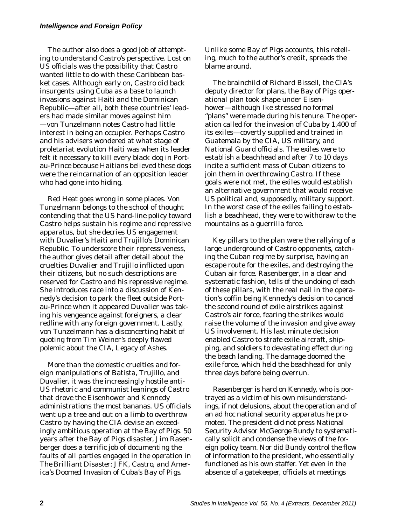The author also does a good job of attempting to understand Castro's perspective. Lost on US officials was the possibility that Castro wanted little to do with these Caribbean basket cases. Although early on, Castro did back insurgents using Cuba as a base to launch invasions against Haiti and the Dominican Republic—after all, both these countries' leaders had made similar moves against him —von Tunzelmann notes Castro had little interest in being an occupier. Perhaps Castro and his advisers wondered at what stage of proletariat evolution Haiti was when its leader felt it necessary to kill every black dog in Portau-Prince because Haitians believed these dogs were the reincarnation of an opposition leader who had gone into hiding.

*Red Heat* goes wrong in some places. Von Tunzelmann belongs to the school of thought contending that the US hard-line policy toward Castro helps sustain his regime and repressive apparatus, but she decries US engagement with Duvalier's Haiti and Trujillo's Dominican Republic. To underscore their repressiveness, the author gives detail after detail about the cruelties Duvalier and Trujillo inflicted upon their citizens, but no such descriptions are reserved for Castro and his repressive regime. She introduces race into a discussion of Kennedy's decision to park the fleet outside Portau-Prince when it appeared Duvalier was taking his vengeance against foreigners, a clear redline with any foreign government. Lastly, von Tunzelmann has a disconcerting habit of quoting from Tim Weiner's deeply flawed polemic about the CIA, *Legacy of Ashes*.

More than the domestic cruelties and foreign manipulations of Batista, Trujillo, and Duvalier, it was the increasingly hostile anti-US rhetoric and communist leanings of Castro that drove the Eisenhower and Kennedy administrations the most bananas. US officials went up a tree and out on a limb to overthrow Castro by having the CIA devise an exceedingly ambitious operation at the Bay of Pigs. 50 years after the Bay of Pigs disaster, Jim Rasenberger does a terrific job of documenting the faults of all parties engaged in the operation in *The Brilliant Disaster: JFK, Castro, and America's Doomed Invasion of Cuba's Bay of Pigs.* 

Unlike some Bay of Pigs accounts, this retelling, much to the author's credit, spreads the blame around.

The brainchild of Richard Bissell, the CIA's deputy director for plans, the Bay of Pigs operational plan took shape under Eisenhower—although Ike stressed no formal "plans" were made during his tenure. The operation called for the invasion of Cuba by 1,400 of its exiles—covertly supplied and trained in Guatemala by the CIA, US military, and National Guard officials. The exiles were to establish a beachhead and after 7 to 10 days incite a sufficient mass of Cuban citizens to join them in overthrowing Castro. If these goals were not met, the exiles would establish an alternative government that would receive US political and, supposedly, military support. In the worst case of the exiles failing to establish a beachhead, they were to withdraw to the mountains as a guerrilla force.

Key pillars to the plan were the rallying of a large underground of Castro opponents, catching the Cuban regime by surprise, having an escape route for the exiles, and destroying the Cuban air force. Rasenberger, in a clear and systematic fashion, tells of the undoing of each of these pillars, with the real nail in the operation's coffin being Kennedy's decision to cancel the second round of exile airstrikes against Castro's air force, fearing the strikes would raise the volume of the invasion and give away US involvement. His last minute decision enabled Castro to strafe exile aircraft, shipping, and soldiers to devastating effect during the beach landing. The damage doomed the exile force, which held the beachhead for only three days before being overrun.

Rasenberger is hard on Kennedy, who is portrayed as a victim of his own misunderstandings, if not delusions, about the operation and of an ad hoc national security apparatus he promoted. The president did not press National Security Advisor McGeorge Bundy to systematically solicit and condense the views of the foreign policy team. Nor did Bundy control the flow of information to the president, who essentially functioned as his own staffer. Yet even in the absence of a gatekeeper, officials at meetings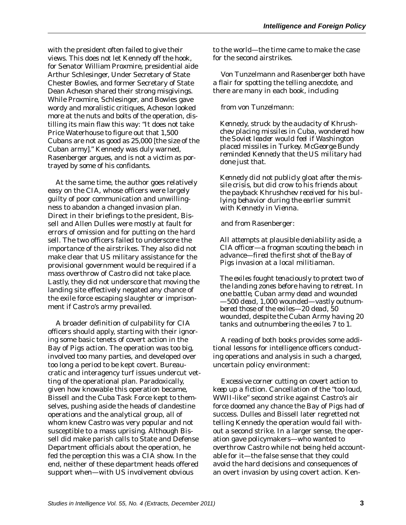with the president often failed to give their views. This does not let Kennedy off the hook, for Senator William Proxmire, presidential aide Arthur Schlesinger, Under Secretary of State Chester Bowles, and former Secretary of State Dean Acheson shared their strong misgivings. While Proxmire, Schlesinger, and Bowles gave wordy and moralistic critiques, Acheson looked more at the nuts and bolts of the operation, distilling its main flaw this way: "It does not take Price Waterhouse to figure out that 1,500 Cubans are not as good as 25,000 [the size of the Cuban army]." Kennedy was duly warned, Rasenberger argues, and is not a victim as portrayed by some of his confidants.

At the same time, the author goes relatively easy on the CIA, whose officers were largely guilty of poor communication and unwillingness to abandon a changed invasion plan. Direct in their briefings to the president, Bissell and Allen Dulles were mostly at fault for errors of omission and for putting on the hard sell. The two officers failed to underscore the importance of the airstrikes. They also did not make clear that US military assistance for the provisional government would be required if a mass overthrow of Castro did not take place. Lastly, they did not underscore that moving the landing site effectively negated any chance of the exile force escaping slaughter or imprisonment if Castro's army prevailed.

A broader definition of culpability for CIA officers should apply, starting with their ignoring some basic tenets of covert action in the Bay of Pigs action. The operation was too big, involved too many parties, and developed over too long a period to be kept covert. Bureaucratic and interagency turf issues undercut vetting of the operational plan. Paradoxically, given how knowable this operation became, Bissell and the Cuba Task Force kept to themselves, pushing aside the heads of clandestine operations and the analytical group, all of whom knew Castro was very popular and not susceptible to a mass uprising. Although Bissell did make parish calls to State and Defense Department officials about the operation, he fed the perception this was a CIA show. In the end, neither of these department heads offered support when—with US involvement obvious

to the world—the time came to make the case for the second airstrikes.

Von Tunzelmann and Rasenberger both have a flair for spotting the telling anecdote, and there are many in each book, including

## from von Tunzelmann:

*Kennedy, struck by the audacity of Khrushchev placing missiles in Cuba, wondered how the Soviet leader would feel if Washington placed missiles in Turkey. McGeorge Bundy reminded Kennedy that the US military had done just that.* 

*Kennedy did not publicly gloat after the missile crisis, but did crow to his friends about the payback Khrushchev received for his bullying behavior during the earlier summit with Kennedy in Vienna.* 

and from Rasenberger:

*All attempts at plausible deniability aside, a CIA officer—a frogman scouting the beach in advance—fired the first shot of the Bay of Pigs invasion at a local militiaman.* 

*The exiles fought tenaciously to protect two of the landing zones before having to retreat. In one battle, Cuban army dead and wounded —500 dead, 1,000 wounded—vastly outnumbered those of the exiles—20 dead, 50 wounded, despite the Cuban Army having 20 tanks and outnumbering the exiles 7 to 1.* 

A reading of both books provides some additional lessons for intelligence officers conducting operations and analysis in such a charged, uncertain policy environment:

*Excessive corner cutting on covert action to keep up a fiction*. Cancellation of the "too loud, WWII-like" second strike against Castro's air force doomed any chance the Bay of Pigs had of success. Dulles and Bissell later regretted not telling Kennedy the operation would fail without a second strike. In a larger sense, the operation gave policymakers—who wanted to overthrow Castro while not being held accountable for it—the false sense that they could avoid the hard decisions and consequences of an overt invasion by using covert action. Ken